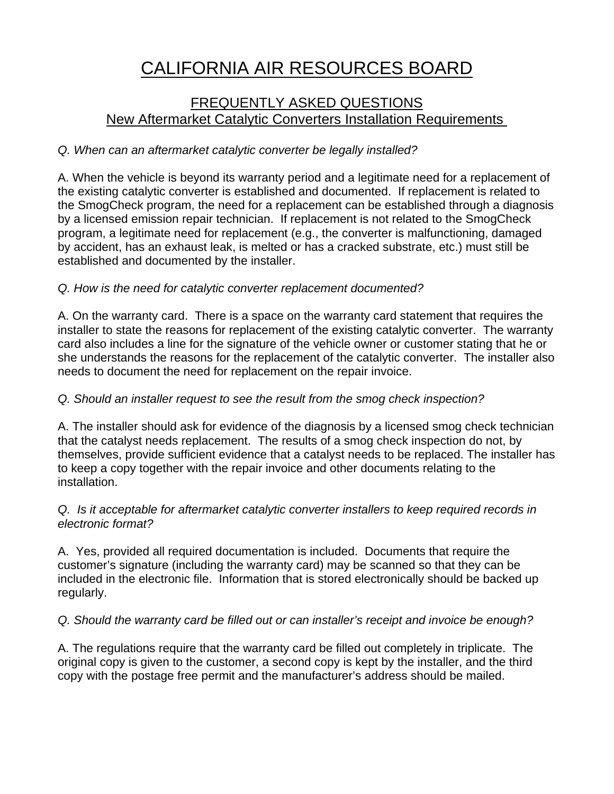# CALIFORNIA AIR RESOURCES BOARD

# FREQUENTLY ASKED QUESTIONS New Aftermarket Catalytic Converters Installation Requirements

# *Q. When can an aftermarket catalytic converter be legally installed?*

A. When the vehicle is beyond its warranty period and a legitimate need for a replacement of the existing catalytic converter is established and documented. If replacement is related to the SmogCheck program, the need for a replacement can be established through a diagnosis by a licensed emission repair technician. If replacement is not related to the SmogCheck program, a legitimate need for replacement (e.g., the converter is malfunctioning, damaged by accident, has an exhaust leak, is melted or has a cracked substrate, etc.) must still be established and documented by the installer.

# *Q. How is the need for catalytic converter replacement documented?*

A. On the warranty card. There is a space on the warranty card statement that requires the installer to state the reasons for replacement of the existing catalytic converter. The warranty card also includes a line for the signature of the vehicle owner or customer stating that he or she understands the reasons for the replacement of the catalytic converter. The installer also needs to document the need for replacement on the repair invoice.

# *Q. Should an installer request to see the result from the smog check inspection?*

A. The installer should ask for evidence of the diagnosis by a licensed smog check technician that the catalyst needs replacement. The results of a smog check inspection do not, by themselves, provide sufficient evidence that a catalyst needs to be replaced. The installer has to keep a copy together with the repair invoice and other documents relating to the installation.

#### *Q. Is it acceptable for aftermarket catalytic converter installers to keep required records in electronic format?*

A. Yes, provided all required documentation is included. Documents that require the customer's signature (including the warranty card) may be scanned so that they can be included in the electronic file. Information that is stored electronically should be backed up regularly.

### *Q. Should the warranty card be filled out or can installer's receipt and invoice be enough?*

A. The regulations require that the warranty card be filled out completely in triplicate. The original copy is given to the customer, a second copy is kept by the installer, and the third copy with the postage free permit and the manufacturer's address should be mailed.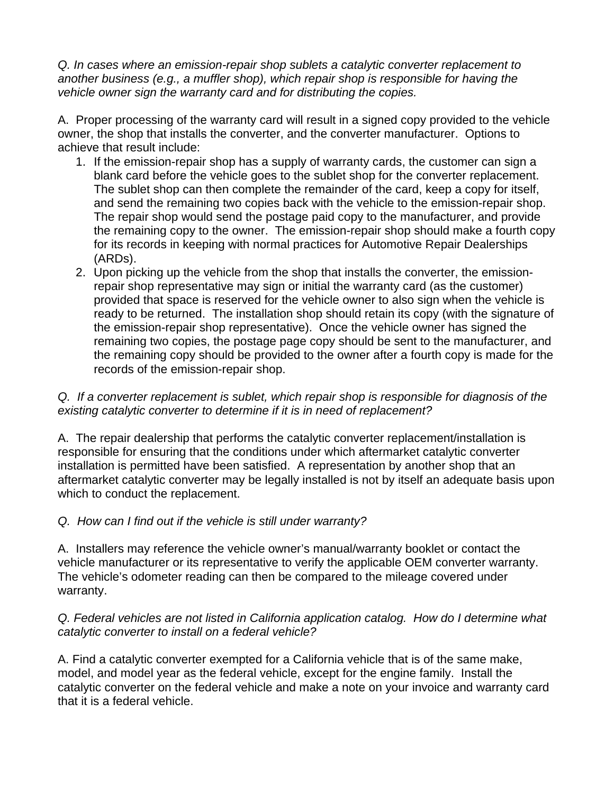*Q. In cases where an emission-repair shop sublets a catalytic converter replacement to another business (e.g., a muffler shop), which repair shop is responsible for having the vehicle owner sign the warranty card and for distributing the copies.* 

A. Proper processing of the warranty card will result in a signed copy provided to the vehicle owner, the shop that installs the converter, and the converter manufacturer. Options to achieve that result include:

- 1. If the emission-repair shop has a supply of warranty cards, the customer can sign a blank card before the vehicle goes to the sublet shop for the converter replacement. The sublet shop can then complete the remainder of the card, keep a copy for itself, and send the remaining two copies back with the vehicle to the emission-repair shop. The repair shop would send the postage paid copy to the manufacturer, and provide the remaining copy to the owner. The emission-repair shop should make a fourth copy for its records in keeping with normal practices for Automotive Repair Dealerships (ARDs).
- 2. Upon picking up the vehicle from the shop that installs the converter, the emissionrepair shop representative may sign or initial the warranty card (as the customer) provided that space is reserved for the vehicle owner to also sign when the vehicle is ready to be returned. The installation shop should retain its copy (with the signature of the emission-repair shop representative). Once the vehicle owner has signed the remaining two copies, the postage page copy should be sent to the manufacturer, and the remaining copy should be provided to the owner after a fourth copy is made for the records of the emission-repair shop.

#### *Q. If a converter replacement is sublet, which repair shop is responsible for diagnosis of the existing catalytic converter to determine if it is in need of replacement?*

A. The repair dealership that performs the catalytic converter replacement/installation is responsible for ensuring that the conditions under which aftermarket catalytic converter installation is permitted have been satisfied. A representation by another shop that an aftermarket catalytic converter may be legally installed is not by itself an adequate basis upon which to conduct the replacement.

### *Q. How can I find out if the vehicle is still under warranty?*

A. Installers may reference the vehicle owner's manual/warranty booklet or contact the vehicle manufacturer or its representative to verify the applicable OEM converter warranty. The vehicle's odometer reading can then be compared to the mileage covered under warranty.

#### *Q. Federal vehicles are not listed in California application catalog. How do I determine what catalytic converter to install on a federal vehicle?*

A. Find a catalytic converter exempted for a California vehicle that is of the same make, model, and model year as the federal vehicle, except for the engine family. Install the catalytic converter on the federal vehicle and make a note on your invoice and warranty card that it is a federal vehicle.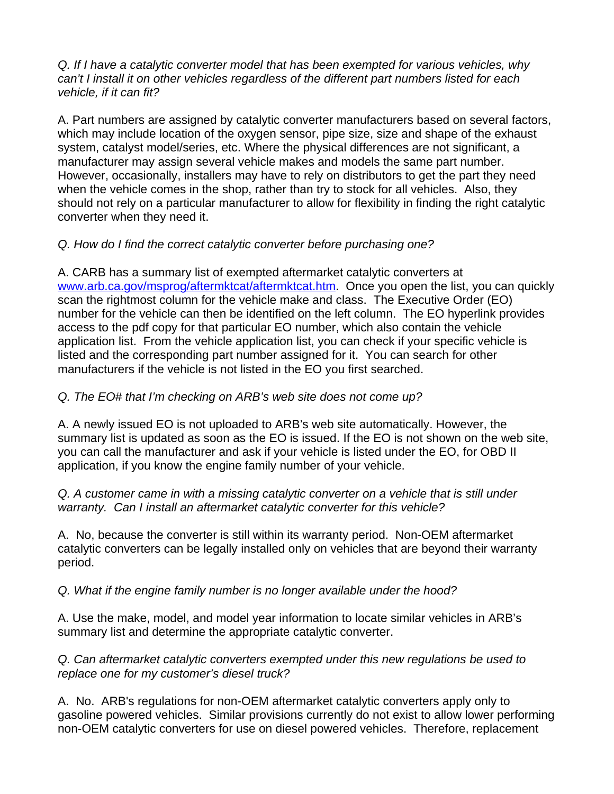*Q. If I have a catalytic converter model that has been exempted for various vehicles, why can't I install it on other vehicles regardless of the different part numbers listed for each vehicle, if it can fit?* 

A. Part numbers are assigned by catalytic converter manufacturers based on several factors, which may include location of the oxygen sensor, pipe size, size and shape of the exhaust system, catalyst model/series, etc. Where the physical differences are not significant, a manufacturer may assign several vehicle makes and models the same part number. However, occasionally, installers may have to rely on distributors to get the part they need when the vehicle comes in the shop, rather than try to stock for all vehicles. Also, they should not rely on a particular manufacturer to allow for flexibility in finding the right catalytic converter when they need it.

### *Q. How do I find the correct catalytic converter before purchasing one?*

A. CARB has a summary list of exempted aftermarket catalytic converters at [www.arb.ca.gov/msprog/aftermktcat/aftermktcat.htm.](http://www.arb.ca.gov/msprog/aftermktcat/aftermktcat.htm) Once you open the list, you can quickly scan the rightmost column for the vehicle make and class. The Executive Order (EO) number for the vehicle can then be identified on the left column. The EO hyperlink provides access to the pdf copy for that particular EO number, which also contain the vehicle application list. From the vehicle application list, you can check if your specific vehicle is listed and the corresponding part number assigned for it. You can search for other manufacturers if the vehicle is not listed in the EO you first searched.

### *Q. The EO# that I'm checking on ARB's web site does not come up?*

A. A newly issued EO is not uploaded to ARB's web site automatically. However, the summary list is updated as soon as the EO is issued. If the EO is not shown on the web site, you can call the manufacturer and ask if your vehicle is listed under the EO, for OBD II application, if you know the engine family number of your vehicle.

*Q. A customer came in with a missing catalytic converter on a vehicle that is still under warranty. Can I install an aftermarket catalytic converter for this vehicle?* 

A. No, because the converter is still within its warranty period. Non-OEM aftermarket catalytic converters can be legally installed only on vehicles that are beyond their warranty period.

#### *Q. What if the engine family number is no longer available under the hood?*

A. Use the make, model, and model year information to locate similar vehicles in ARB's summary list and determine the appropriate catalytic converter.

*Q. Can aftermarket catalytic converters exempted under this new regulations be used to replace one for my customer's diesel truck?* 

A. No. ARB's regulations for non-OEM aftermarket catalytic converters apply only to gasoline powered vehicles. Similar provisions currently do not exist to allow lower performing non-OEM catalytic converters for use on diesel powered vehicles. Therefore, replacement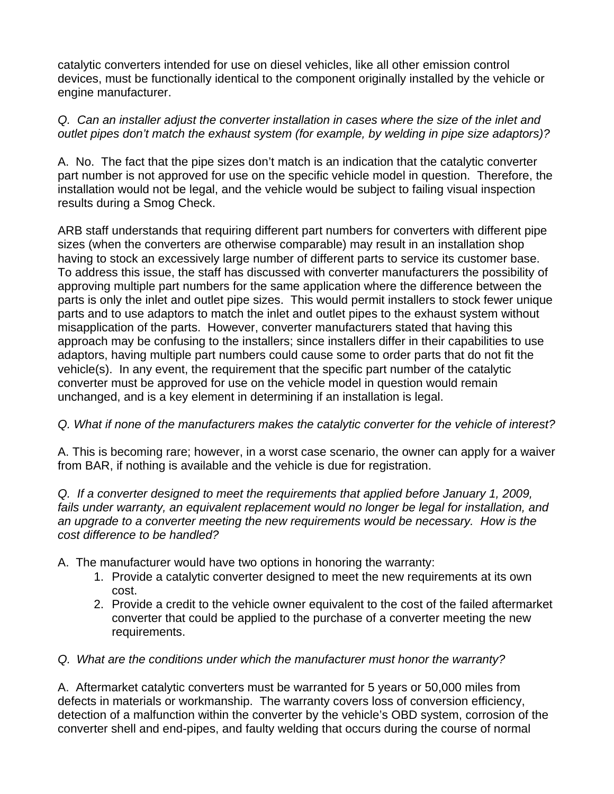catalytic converters intended for use on diesel vehicles, like all other emission control devices, must be functionally identical to the component originally installed by the vehicle or engine manufacturer.

# *Q. Can an installer adjust the converter installation in cases where the size of the inlet and outlet pipes don't match the exhaust system (for example, by welding in pipe size adaptors)?*

A. No. The fact that the pipe sizes don't match is an indication that the catalytic converter part number is not approved for use on the specific vehicle model in question. Therefore, the installation would not be legal, and the vehicle would be subject to failing visual inspection results during a Smog Check.

ARB staff understands that requiring different part numbers for converters with different pipe sizes (when the converters are otherwise comparable) may result in an installation shop having to stock an excessively large number of different parts to service its customer base. To address this issue, the staff has discussed with converter manufacturers the possibility of approving multiple part numbers for the same application where the difference between the parts is only the inlet and outlet pipe sizes. This would permit installers to stock fewer unique parts and to use adaptors to match the inlet and outlet pipes to the exhaust system without misapplication of the parts. However, converter manufacturers stated that having this approach may be confusing to the installers; since installers differ in their capabilities to use adaptors, having multiple part numbers could cause some to order parts that do not fit the vehicle(s). In any event, the requirement that the specific part number of the catalytic converter must be approved for use on the vehicle model in question would remain unchanged, and is a key element in determining if an installation is legal.

# *Q. What if none of the manufacturers makes the catalytic converter for the vehicle of interest?*

A. This is becoming rare; however, in a worst case scenario, the owner can apply for a waiver from BAR, if nothing is available and the vehicle is due for registration.

*Q. If a converter designed to meet the requirements that applied before January 1, 2009, fails under warranty, an equivalent replacement would no longer be legal for installation, and an upgrade to a converter meeting the new requirements would be necessary. How is the cost difference to be handled?* 

- A. The manufacturer would have two options in honoring the warranty:
	- 1. Provide a catalytic converter designed to meet the new requirements at its own cost.
	- 2. Provide a credit to the vehicle owner equivalent to the cost of the failed aftermarket converter that could be applied to the purchase of a converter meeting the new requirements.

### *Q. What are the conditions under which the manufacturer must honor the warranty?*

A. Aftermarket catalytic converters must be warranted for 5 years or 50,000 miles from defects in materials or workmanship. The warranty covers loss of conversion efficiency, detection of a malfunction within the converter by the vehicle's OBD system, corrosion of the converter shell and end-pipes, and faulty welding that occurs during the course of normal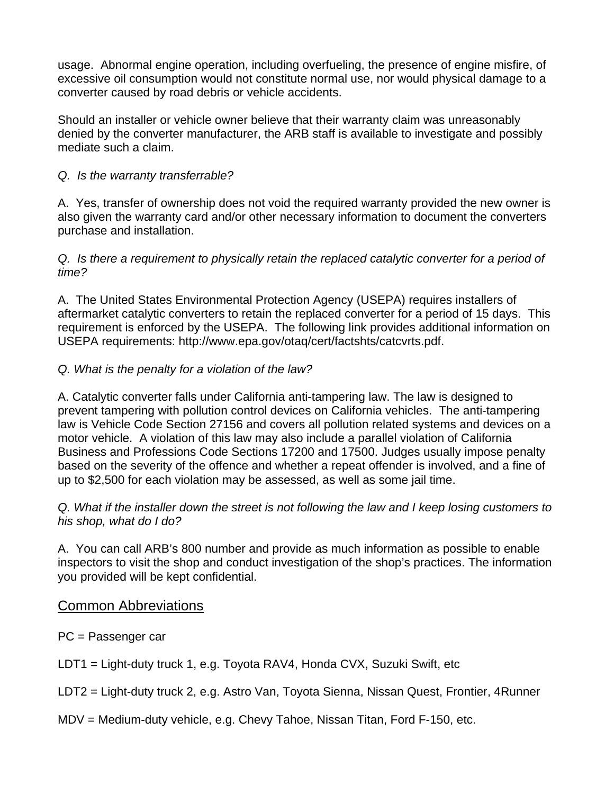usage. Abnormal engine operation, including overfueling, the presence of engine misfire, of excessive oil consumption would not constitute normal use, nor would physical damage to a converter caused by road debris or vehicle accidents.

Should an installer or vehicle owner believe that their warranty claim was unreasonably denied by the converter manufacturer, the ARB staff is available to investigate and possibly mediate such a claim.

### *Q. Is the warranty transferrable?*

A. Yes, transfer of ownership does not void the required warranty provided the new owner is also given the warranty card and/or other necessary information to document the converters purchase and installation.

#### *Q. Is there a requirement to physically retain the replaced catalytic converter for a period of time?*

A. The United States Environmental Protection Agency (USEPA) requires installers of aftermarket catalytic converters to retain the replaced converter for a period of 15 days. This requirement is enforced by the USEPA. The following link provides additional information on USEPA requirements: http://www.epa.gov/otaq/cert/factshts/catcvrts.pdf.

### *Q. What is the penalty for a violation of the law?*

A. Catalytic converter falls under California anti-tampering law. The law is designed to prevent tampering with pollution control devices on California vehicles. The anti-tampering law is Vehicle Code Section 27156 and covers all pollution related systems and devices on a motor vehicle. A violation of this law may also include a parallel violation of California Business and Professions Code Sections 17200 and 17500. Judges usually impose penalty based on the severity of the offence and whether a repeat offender is involved, and a fine of up to \$2,500 for each violation may be assessed, as well as some jail time.

*Q. What if the installer down the street is not following the law and I keep losing customers to his shop, what do I do?* 

A. You can call ARB's 800 number and provide as much information as possible to enable inspectors to visit the shop and conduct investigation of the shop's practices. The information you provided will be kept confidential.

### Common Abbreviations

- PC = Passenger car
- LDT1 = Light-duty truck 1, e.g. Toyota RAV4, Honda CVX, Suzuki Swift, etc
- LDT2 = Light-duty truck 2, e.g. Astro Van, Toyota Sienna, Nissan Quest, Frontier, 4Runner
- MDV = Medium-duty vehicle, e.g. Chevy Tahoe, Nissan Titan, Ford F-150, etc.